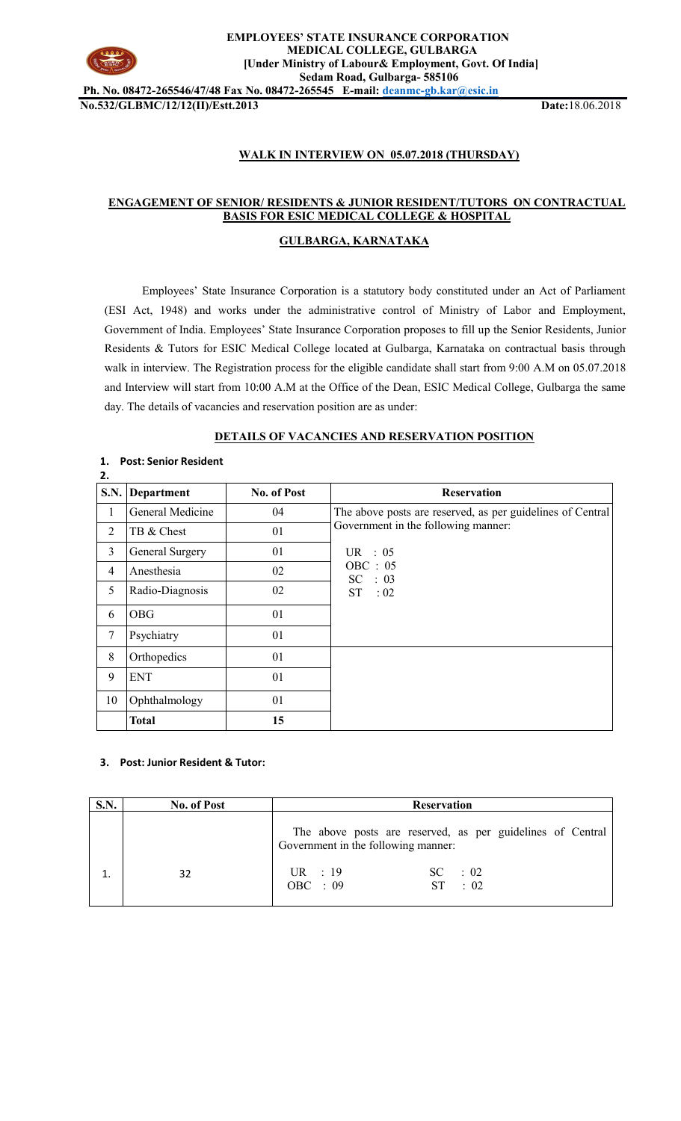

#### **EMPLOYEES' STATE INSURANCE CORPORATION MEDICAL COLLEGE, GULBARGA [Under Ministry of Labour& Employment, Govt. Of India] Sedam Road, Gulbarga- 585106**

**Ph. No. 08472-265546/47/48 Fax No. 08472-265545 E-mail[: deanmc-gb.kar@esic.in](mailto:deanmc-gb.kar@esic.in) No.532/GLBMC/12/12(II)/Estt.2013 Date:**18.06.2018

# **WALK IN INTERVIEW ON 05.07.2018 (THURSDAY)**

# **ENGAGEMENT OF SENIOR/ RESIDENTS & JUNIOR RESIDENT/TUTORS ON CONTRACTUAL BASIS FOR ESIC MEDICAL COLLEGE & HOSPITAL**

## **GULBARGA, KARNATAKA**

Employees' State Insurance Corporation is a statutory body constituted under an Act of Parliament (ESI Act, 1948) and works under the administrative control of Ministry of Labor and Employment, Government of India. Employees' State Insurance Corporation proposes to fill up the Senior Residents, Junior Residents & Tutors for ESIC Medical College located at Gulbarga, Karnataka on contractual basis through walk in interview. The Registration process for the eligible candidate shall start from 9:00 A.M on 05.07.2018 and Interview will start from 10:00 A.M at the Office of the Dean, ESIC Medical College, Gulbarga the same day. The details of vacancies and reservation position are as under:

### **DETAILS OF VACANCIES AND RESERVATION POSITION**

| 2.             |                  |                    |                                                            |
|----------------|------------------|--------------------|------------------------------------------------------------|
| S.N.           | Department       | <b>No. of Post</b> | <b>Reservation</b>                                         |
| $\mathbf{1}$   | General Medicine | 04                 | The above posts are reserved, as per guidelines of Central |
| $\overline{2}$ | TB & Chest       | 01                 | Government in the following manner:                        |
| $\overline{3}$ | General Surgery  | 01                 | UR : $05$                                                  |
| 4              | Anesthesia       | 02                 | OBC : 05<br>SC : 03                                        |
| 5              | Radio-Diagnosis  | 02                 | $ST = 02$                                                  |
| 6              | <b>OBG</b>       | 01                 |                                                            |
| 7              | Psychiatry       | 01                 |                                                            |
| 8              | Orthopedics      | 01                 |                                                            |
| 9              | <b>ENT</b>       | 01                 |                                                            |
| 10             | Ophthalmology    | 01                 |                                                            |
|                | <b>Total</b>     | 15                 |                                                            |

## **1. Post: Senior Resident**

## **3. Post: Junior Resident & Tutor:**

| S.N. | <b>No. of Post</b> | <b>Reservation</b>                                                                                |
|------|--------------------|---------------------------------------------------------------------------------------------------|
|      |                    | The above posts are reserved, as per guidelines of Central<br>Government in the following manner: |
|      | 32                 | UR : $19$<br>$SC = 02$<br>OBC : $09$<br>$\therefore$ 02<br>ST.                                    |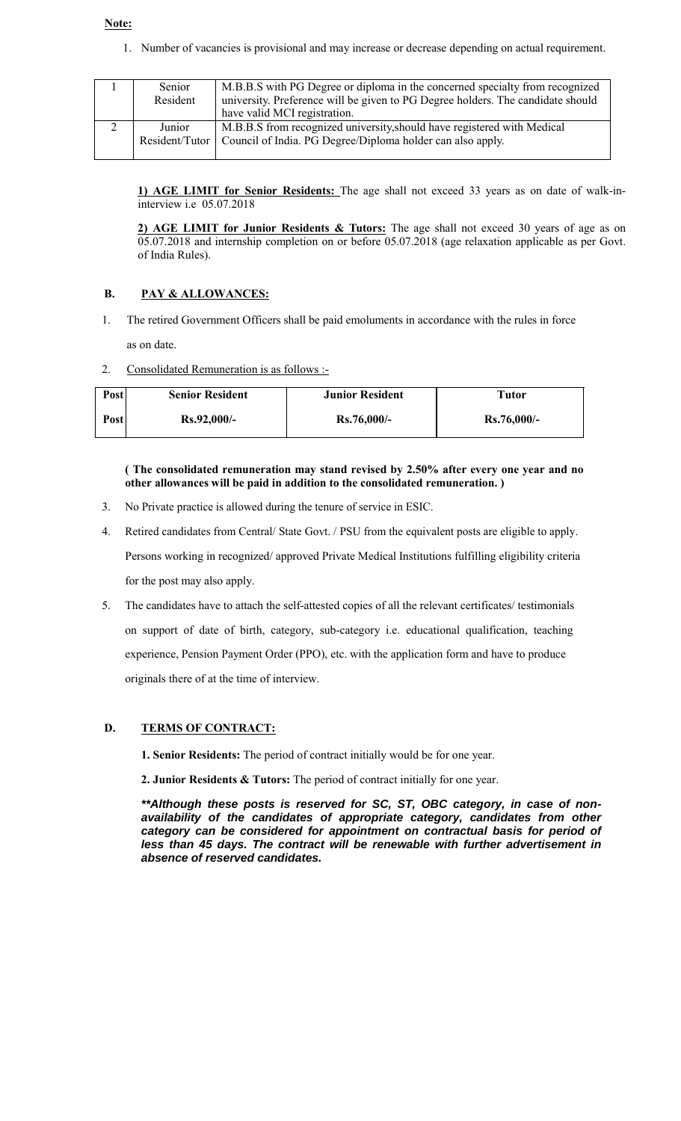## **Note:**

1. Number of vacancies is provisional and may increase or decrease depending on actual requirement.

| Senior<br>Resident | M.B.B.S with PG Degree or diploma in the concerned specialty from recognized<br>university. Preference will be given to PG Degree holders. The candidate should<br>have valid MCI registration. |
|--------------------|-------------------------------------------------------------------------------------------------------------------------------------------------------------------------------------------------|
| Junior             | M.B.B.S from recognized university, should have registered with Medical<br>Resident/Tutor   Council of India. PG Degree/Diploma holder can also apply.                                          |

**1) AGE LIMIT for Senior Residents:** The age shall not exceed 33 years as on date of walk-ininterview i.e 05.07.2018

**2) AGE LIMIT for Junior Residents & Tutors:** The age shall not exceed 30 years of age as on 05.07.2018 and internship completion on or before 05.07.2018 (age relaxation applicable as per Govt. of India Rules).

# **B. PAY & ALLOWANCES:**

- 1. The retired Government Officers shall be paid emoluments in accordance with the rules in force as on date.
- 2. Consolidated Remuneration is as follows :-

| Post | <b>Senior Resident</b> | <b>Junior Resident</b> | Tutor         |
|------|------------------------|------------------------|---------------|
| Post | $Rs.92,000/-$          | $Rs.76,000/-$          | $Rs.76,000/-$ |

**( The consolidated remuneration may stand revised by 2.50% after every one year and no other allowances will be paid in addition to the consolidated remuneration. )**

- 3. No Private practice is allowed during the tenure of service in ESIC.
- 4. Retired candidates from Central/ State Govt. / PSU from the equivalent posts are eligible to apply. Persons working in recognized/ approved Private Medical Institutions fulfilling eligibility criteria for the post may also apply.
- 5. The candidates have to attach the self-attested copies of all the relevant certificates/ testimonials on support of date of birth, category, sub-category i.e. educational qualification, teaching experience, Pension Payment Order (PPO), etc. with the application form and have to produce originals there of at the time of interview.

## **D. TERMS OF CONTRACT:**

- **1. Senior Residents:** The period of contract initially would be for one year.
- **2. Junior Residents & Tutors:** The period of contract initially for one year.

*\*\*Although these posts is reserved for SC, ST, OBC category, in case of nonavailability of the candidates of appropriate category, candidates from other category can be considered for appointment on contractual basis for period of less than 45 days. The contract will be renewable with further advertisement in absence of reserved candidates.*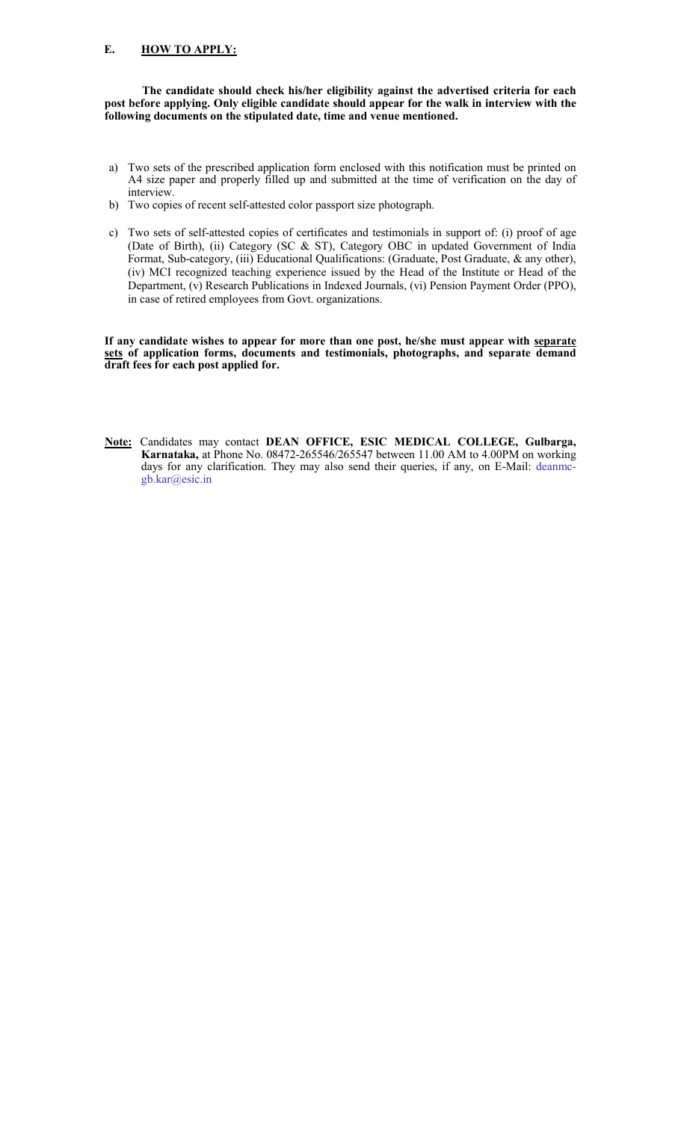#### **E. HOW TO APPLY:**

**The candidate should check his/her eligibility against the advertised criteria for each post before applying. Only eligible candidate should appear for the walk in interview with the following documents on the stipulated date, time and venue mentioned.** 

- a) Two sets of the prescribed application form enclosed with this notification must be printed on A4 size paper and properly filled up and submitted at the time of verification on the day of interview.
- b) Two copies of recent self-attested color passport size photograph.
- c) Two sets of self-attested copies of certificates and testimonials in support of: (i) proof of age (Date of Birth), (ii) Category (SC & ST), Category OBC in updated Government of India Format, Sub-category, (iii) Educational Qualifications: (Graduate, Post Graduate, & any other), (iv) MCI recognized teaching experience issued by the Head of the Institute or Head of the Department, (v) Research Publications in Indexed Journals, (vi) Pension Payment Order (PPO), in case of retired employees from Govt. organizations.

**If any candidate wishes to appear for more than one post, he/she must appear with separate sets of application forms, documents and testimonials, photographs, and separate demand draft fees for each post applied for.** 

**Note:** Candidates may contact **DEAN OFFICE, ESIC MEDICAL COLLEGE, Gulbarga, Karnataka,** at Phone No. 08472-265546/265547 between 11.00 AM to 4.00PM on working days for any clarification. They may also send their queries, if any, on E-Mail: deanmcgb.kar@esic.in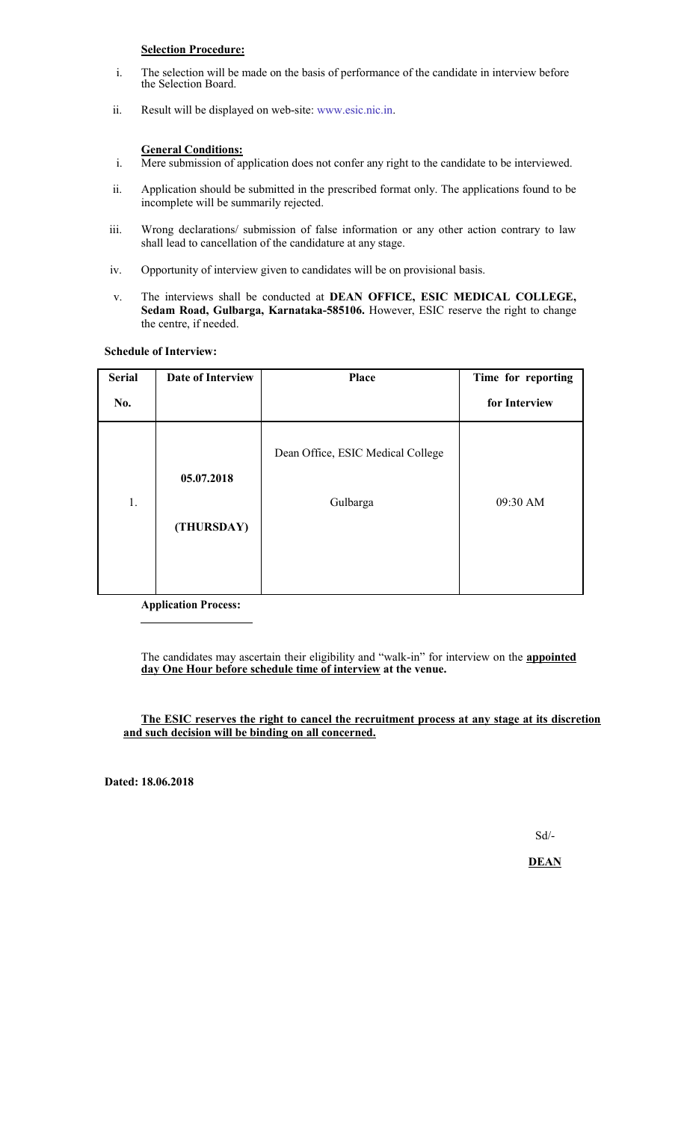# **Selection Procedure:**

- i. The selection will be made on the basis of performance of the candidate in interview before the Selection Board.
- ii. Result will be displayed on web-site: www.esic.nic.in.

#### **General Conditions:**

- i. Mere submission of application does not confer any right to the candidate to be interviewed.
- ii. Application should be submitted in the prescribed format only. The applications found to be incomplete will be summarily rejected.
- iii. Wrong declarations/ submission of false information or any other action contrary to law shall lead to cancellation of the candidature at any stage.
- iv. Opportunity of interview given to candidates will be on provisional basis.
- v. The interviews shall be conducted at **DEAN OFFICE, ESIC MEDICAL COLLEGE, Sedam Road, Gulbarga, Karnataka-585106.** However, ESIC reserve the right to change the centre, if needed.

**Schedule of Interview:** 

| <b>Serial</b> | Date of Interview | Place                             | Time for reporting |
|---------------|-------------------|-----------------------------------|--------------------|
| No.           |                   |                                   | for Interview      |
|               | 05.07.2018        | Dean Office, ESIC Medical College |                    |
| 1.            | (THURSDAY)        | Gulbarga                          | 09:30 AM           |
|               |                   |                                   |                    |

**Application Process:**

The candidates may ascertain their eligibility and "walk-in" for interview on the **appointed day One Hour before schedule time of interview at the venue.** 

**The ESIC reserves the right to cancel the recruitment process at any stage at its discretion and such decision will be binding on all concerned.** 

**Dated: 18.06.2018** 

Sd/-

**DEAN**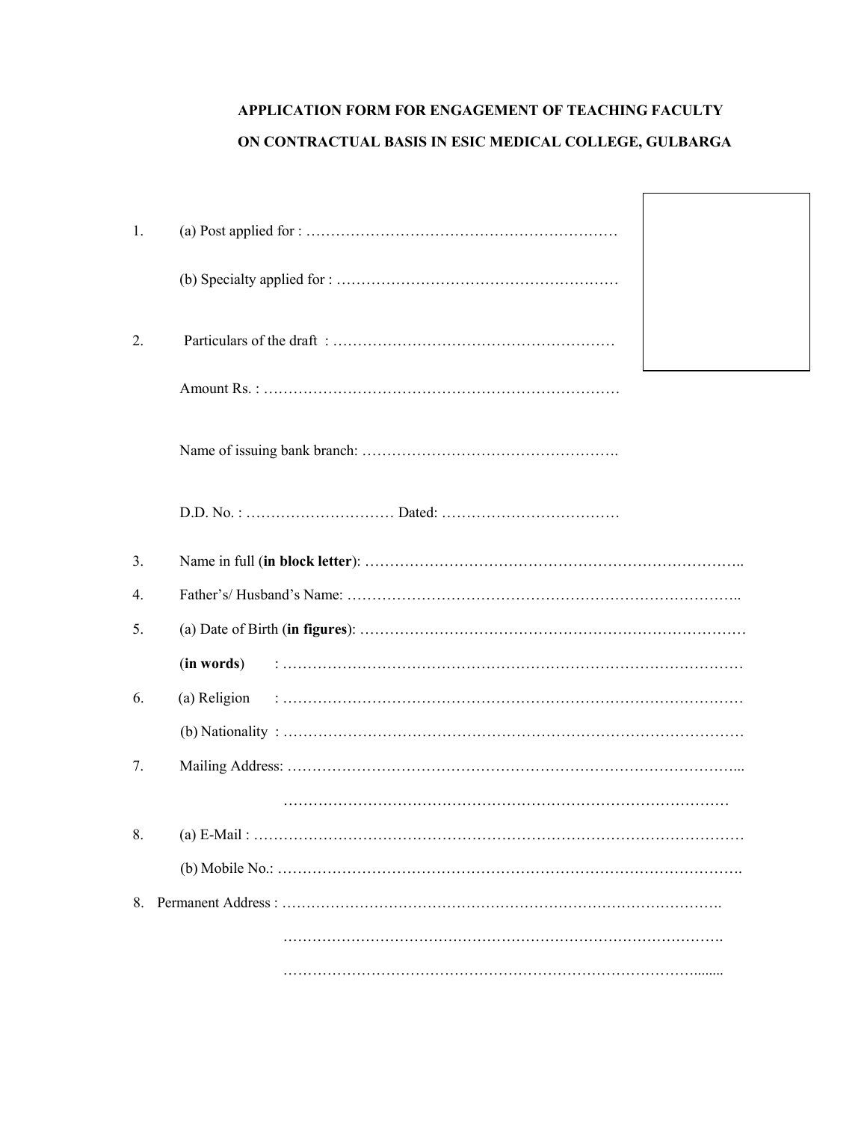# **APPLICATION FORM FOR ENGAGEMENT OF TEACHING FACULTY ON CONTRACTUAL BASIS IN ESIC MEDICAL COLLEGE, GULBARGA**

 $\Gamma$ 

| $\mathbf{1}$ . |              |
|----------------|--------------|
|                |              |
| 2.             |              |
|                |              |
|                |              |
|                |              |
| 3 <sub>1</sub> |              |
| 4.             |              |
| 5.             |              |
|                | (in words)   |
| 6.             | (a) Religion |
|                |              |
| 7.             |              |
|                |              |
| 8.             |              |
|                |              |
| 8.             |              |
|                |              |
|                |              |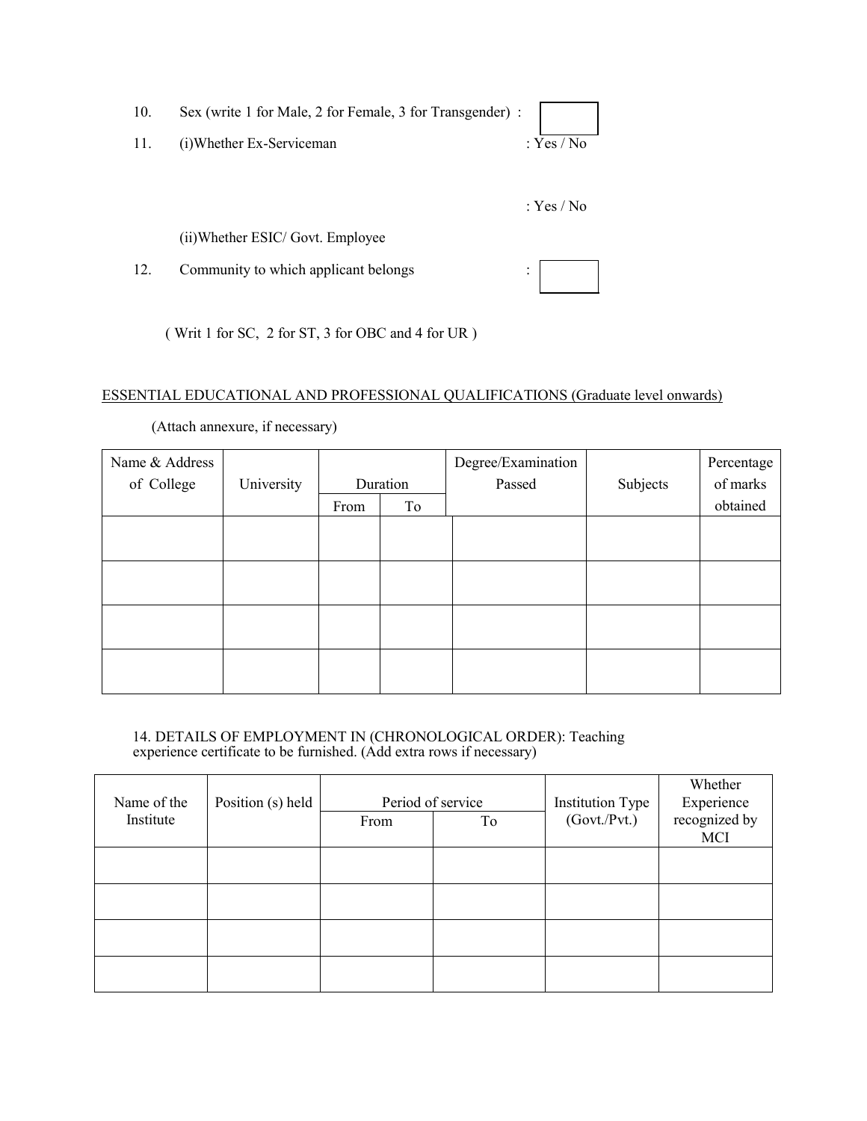| 10. | Sex (write 1 for Male, 2 for Female, 3 for Transgender) : |            |
|-----|-----------------------------------------------------------|------------|
| 11. | (i) Whether Ex-Serviceman                                 | : Yes / No |
|     |                                                           |            |
|     |                                                           | : Yes / No |
|     | (ii) Whether ESIC/ Govt. Employee                         |            |
| 12. | Community to which applicant belongs                      | ٠          |

( Writ 1 for SC, 2 for ST, 3 for OBC and 4 for UR )

# ESSENTIAL EDUCATIONAL AND PROFESSIONAL QUALIFICATIONS (Graduate level onwards)

(Attach annexure, if necessary)

| Name & Address |            | Degree/Examination |          | Percentage |          |          |
|----------------|------------|--------------------|----------|------------|----------|----------|
| of College     | University |                    | Duration | Passed     | Subjects | of marks |
|                |            | From               | To       |            |          | obtained |
|                |            |                    |          |            |          |          |
|                |            |                    |          |            |          |          |
|                |            |                    |          |            |          |          |
|                |            |                    |          |            |          |          |
|                |            |                    |          |            |          |          |
|                |            |                    |          |            |          |          |
|                |            |                    |          |            |          |          |
|                |            |                    |          |            |          |          |

14. DETAILS OF EMPLOYMENT IN (CHRONOLOGICAL ORDER): Teaching experience certificate to be furnished. (Add extra rows if necessary)

| Name of the | Position (s) held |      | Period of service | <b>Institution Type</b> | Whether<br>Experience |
|-------------|-------------------|------|-------------------|-------------------------|-----------------------|
| Institute   |                   | From | To                | (Govt./Pvt.)            | recognized by<br>MCI  |
|             |                   |      |                   |                         |                       |
|             |                   |      |                   |                         |                       |
|             |                   |      |                   |                         |                       |
|             |                   |      |                   |                         |                       |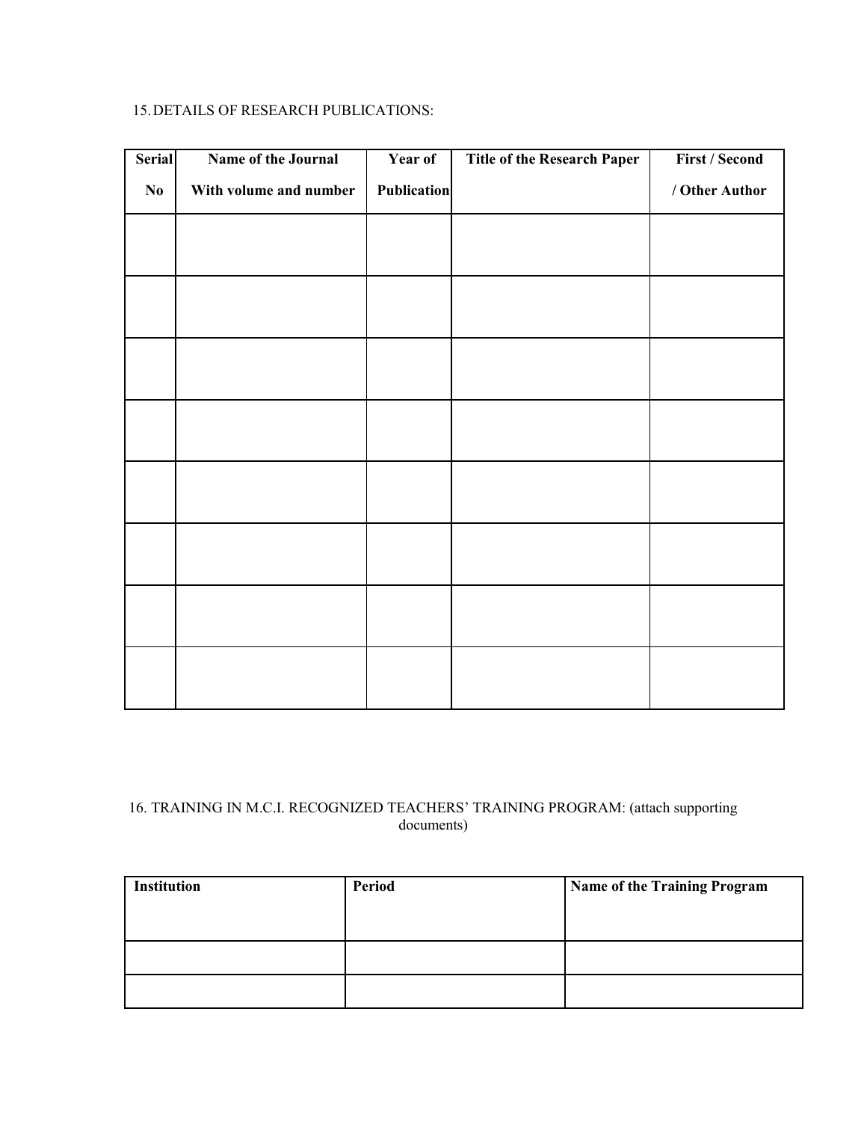## 15.DETAILS OF RESEARCH PUBLICATIONS:

| <b>Serial</b> | Name of the Journal    | Year of            | <b>Title of the Research Paper</b> | <b>First / Second</b> |
|---------------|------------------------|--------------------|------------------------------------|-----------------------|
| $\bf No$      | With volume and number | <b>Publication</b> |                                    | / Other Author        |
|               |                        |                    |                                    |                       |
|               |                        |                    |                                    |                       |
|               |                        |                    |                                    |                       |
|               |                        |                    |                                    |                       |
|               |                        |                    |                                    |                       |
|               |                        |                    |                                    |                       |
|               |                        |                    |                                    |                       |
|               |                        |                    |                                    |                       |
|               |                        |                    |                                    |                       |
|               |                        |                    |                                    |                       |
|               |                        |                    |                                    |                       |
|               |                        |                    |                                    |                       |
|               |                        |                    |                                    |                       |
|               |                        |                    |                                    |                       |
|               |                        |                    |                                    |                       |
|               |                        |                    |                                    |                       |

# 16. TRAINING IN M.C.I. RECOGNIZED TEACHERS' TRAINING PROGRAM: (attach supporting documents)

| <b>Institution</b> | Period | Name of the Training Program |
|--------------------|--------|------------------------------|
|                    |        |                              |
|                    |        |                              |
|                    |        |                              |
|                    |        |                              |
|                    |        |                              |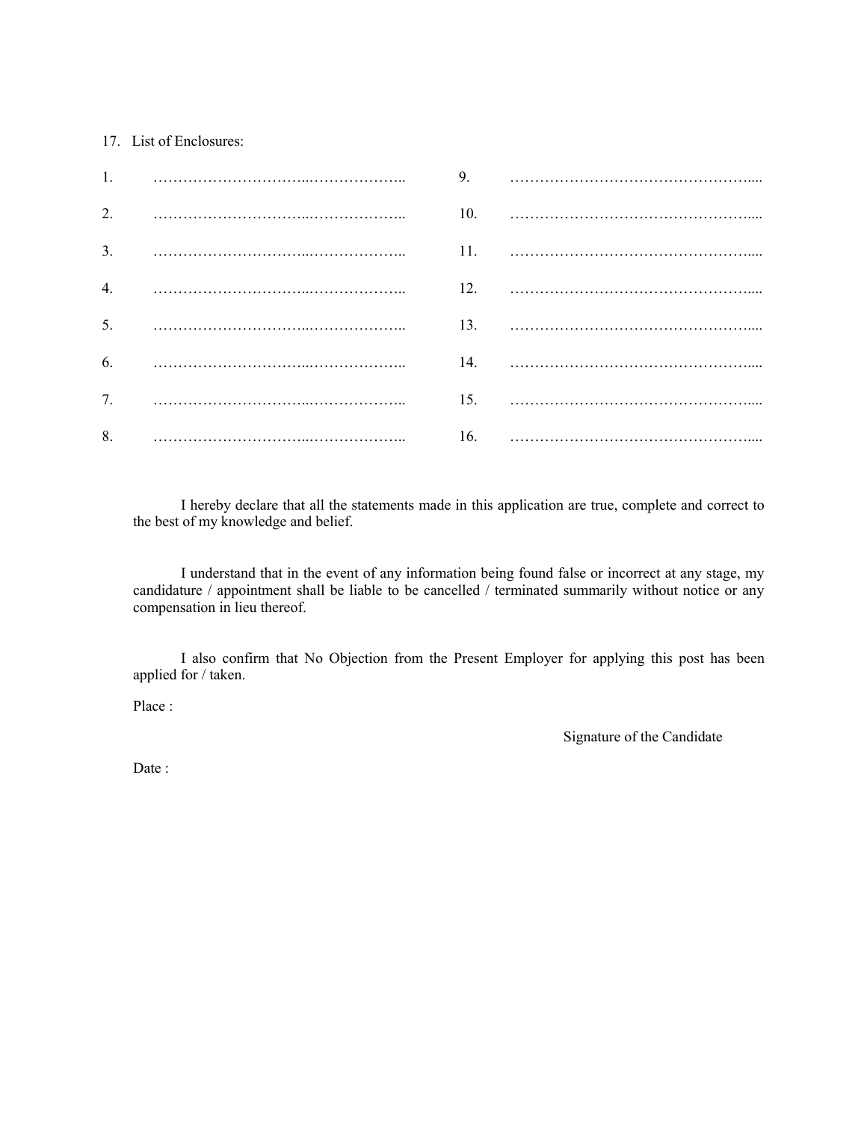#### 17. List of Enclosures:

| $\overline{2}$ . |  |  |
|------------------|--|--|
| $\overline{3}$ . |  |  |
|                  |  |  |
| 5.               |  |  |
| 6.               |  |  |
| 7.               |  |  |
| 8.               |  |  |

I hereby declare that all the statements made in this application are true, complete and correct to the best of my knowledge and belief.

I understand that in the event of any information being found false or incorrect at any stage, my candidature / appointment shall be liable to be cancelled / terminated summarily without notice or any compensation in lieu thereof.

I also confirm that No Objection from the Present Employer for applying this post has been applied for / taken.

Place :

Signature of the Candidate

Date: